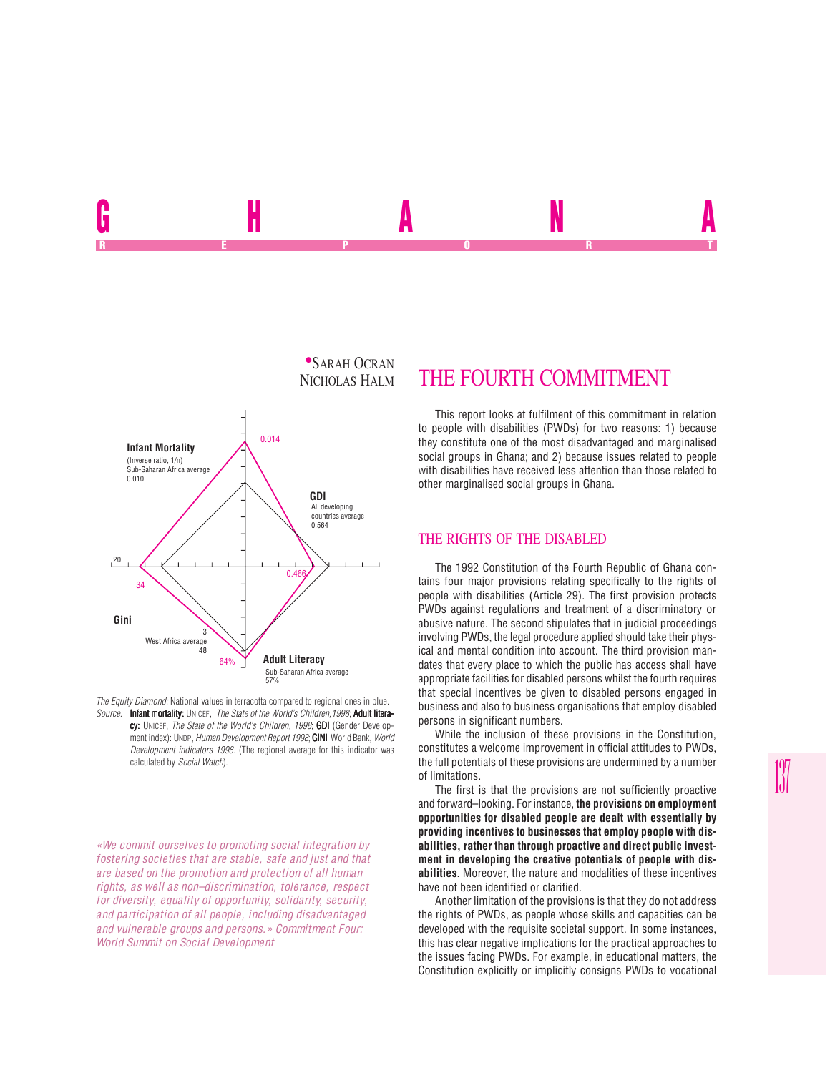

*The Equity Diamond:* National values in terracotta compared to regional ones in blue. *Source:* Infant mortality: UNICEF, *The State of the World's Children,1998*; Adult literacy: UNICEF, *The State of the World's Children, 1998*; **GDI** (Gender Development index): UNDP, *Human Development Report 1998*; **GINI**: World Bank, *World Development indicators 1998*. (The regional average for this indicator was calculated by *Social Watch*).

*«We commit ourselves to promoting social integration by fostering societies that are stable, safe and just and that are based on the promotion and protection of all human rights, as well as non–discrimination, tolerance, respect for diversity, equality of opportunity, solidarity, security, and participation of all people, including disadvantaged and vulnerable groups and persons.» Commitment Four: World Summit on Social Development*

## THE FOURTH COMMITMENT

GHANA REPORT OF STATE REPORT OF STATE REPORT OF STATE REPORT OF STATE REPORT OF STATE REPORT OF STATE REPORT OF STATE REPORT OF STATE REPORT OF STATE REPORT OF STATE REPORT OF STATE REPORT OF STATE REPORT OF STATE REPORT OF STAT

> This report looks at fulfilment of this commitment in relation to people with disabilities (PWDs) for two reasons: 1) because they constitute one of the most disadvantaged and marginalised social groups in Ghana; and 2) because issues related to people with disabilities have received less attention than those related to other marginalised social groups in Ghana.

## THE RIGHTS OF THE DISABLED

The 1992 Constitution of the Fourth Republic of Ghana contains four major provisions relating specifically to the rights of people with disabilities (Article 29). The first provision protects PWDs against regulations and treatment of a discriminatory or abusive nature. The second stipulates that in judicial proceedings involving PWDs, the legal procedure applied should take their physical and mental condition into account. The third provision mandates that every place to which the public has access shall have appropriate facilities for disabled persons whilst the fourth requires that special incentives be given to disabled persons engaged in business and also to business organisations that employ disabled persons in significant numbers.

While the inclusion of these provisions in the Constitution, constitutes a welcome improvement in official attitudes to PWDs, the full potentials of these provisions are undermined by a number of limitations.

The first is that the provisions are not sufficiently proactive and forward–looking. For instance, **the provisions on employment opportunities for disabled people are dealt with essentially by providing incentives to businesses that employ people with disabilities, rather than through proactive and direct public investment in developing the creative potentials of people with disabilities**. Moreover, the nature and modalities of these incentives have not been identified or clarified.

Another limitation of the provisions is that they do not address the rights of PWDs, as people whose skills and capacities can be developed with the requisite societal support. In some instances, this has clear negative implications for the practical approaches to the issues facing PWDs. For example, in educational matters, the Constitution explicitly or implicitly consigns PWDs to vocational